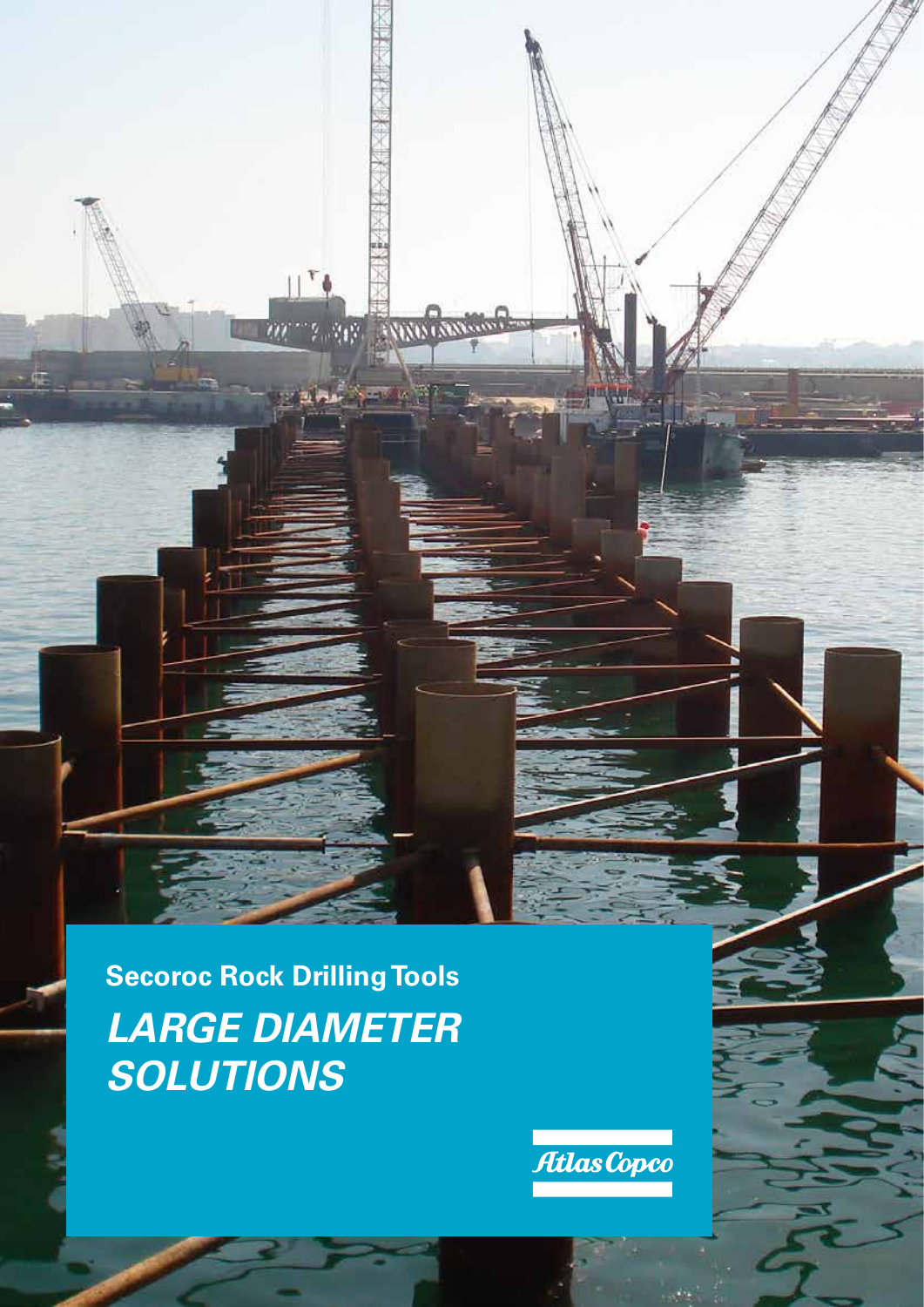**Secoroc Rock Drilling Tools** *LARGE DIAMETER SOLUTIONS*

**Service States Containing** 

Ш



**All Property**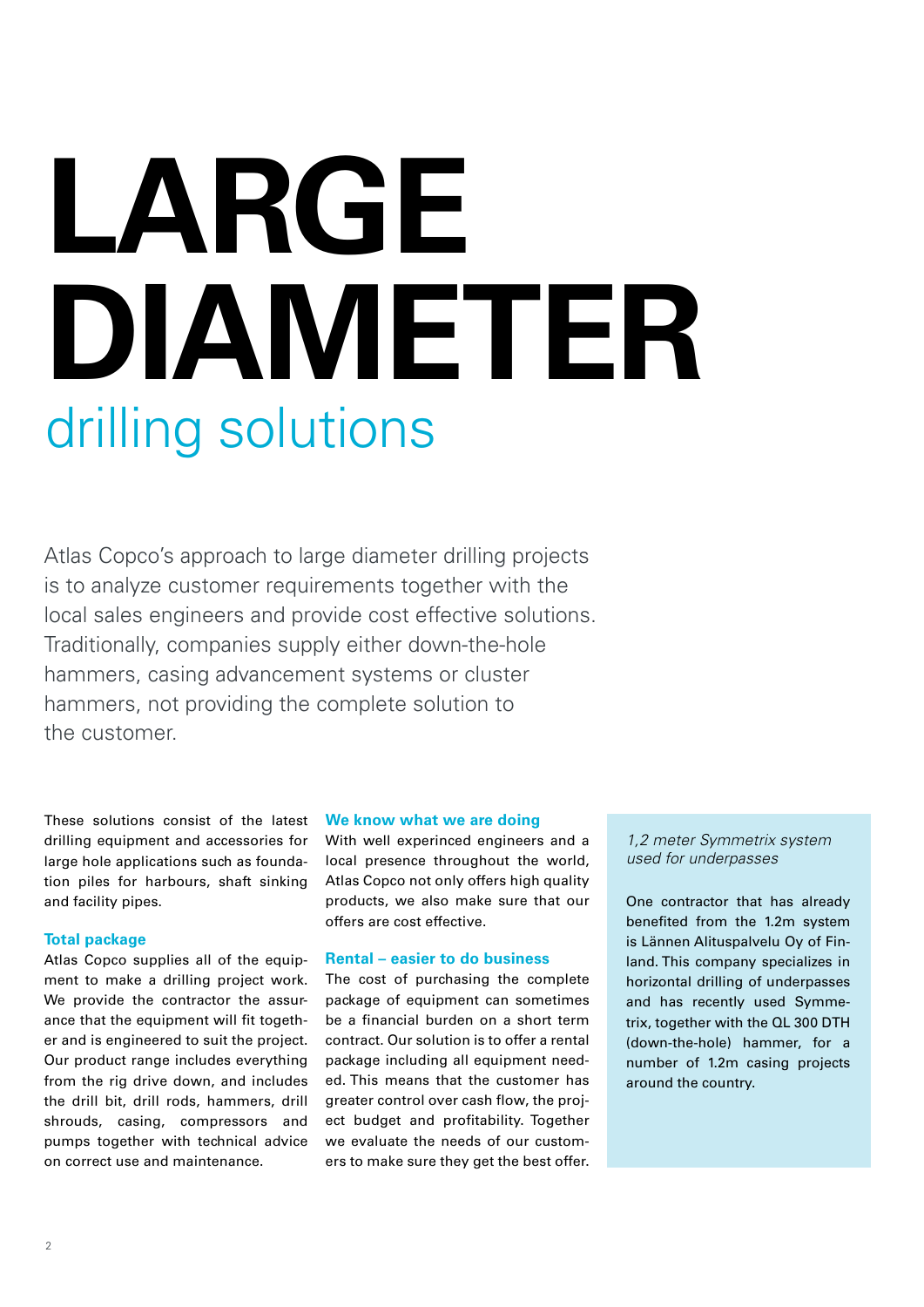# **LARGE DIAMETER** drilling solutions

Atlas Copco's approach to large diameter drilling projects is to analyze customer requirements together with the local sales engineers and provide cost effective solutions. Traditionally, companies supply either down-the-hole hammers, casing advancement systems or cluster hammers, not providing the complete solution to the customer.

These solutions consist of the latest drilling equipment and accessories for large hole applications such as foundation piles for harbours, shaft sinking and facility pipes.

#### **Total package**

Atlas Copco supplies all of the equipment to make a drilling project work. We provide the contractor the assurance that the equipment will fit together and is engineered to suit the project. Our product range includes everything from the rig drive down, and includes the drill bit, drill rods, hammers, drill shrouds, casing, compressors and pumps together with technical advice on correct use and maintenance.

#### **We know what we are doing**

With well experinced engineers and a local presence throughout the world, Atlas Copco not only offers high quality products, we also make sure that our offers are cost effective.

# **Rental – easier to do business**

The cost of purchasing the complete package of equipment can sometimes be a financial burden on a short term contract. Our solution is to offer a rental package including all equipment needed. This means that the customer has greater control over cash flow, the project budget and profitability. Together we evaluate the needs of our customers to make sure they get the best offer.

*1,2 meter Symmetrix system used for underpasses*

One contractor that has already benefited from the 1.2m system is Lännen Alituspalvelu Oy of Finland. This company specializes in horizontal drilling of underpasses and has recently used Symmetrix, together with the QL 300 DTH (down-the-hole) hammer, for a number of 1.2m casing projects around the country.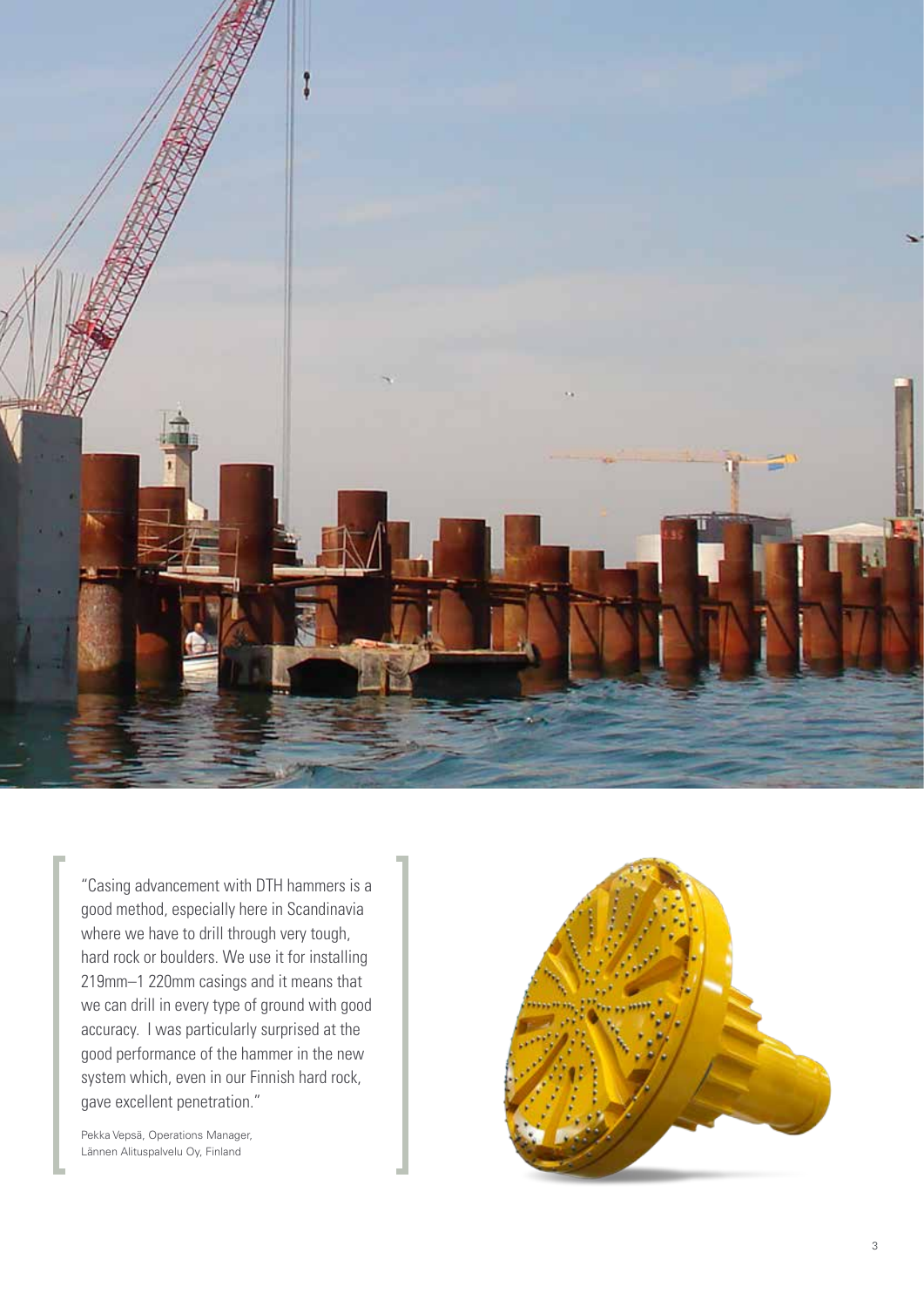

"Casing advancement with DTH hammers is a good method, especially here in Scandinavia where we have to drill through very tough, hard rock or boulders. We use it for installing 219mm–1 220mm casings and it means that we can drill in every type of ground with good accuracy. I was particularly surprised at the good performance of the hammer in the new system which, even in our Finnish hard rock, gave excellent penetration."

Pekka Vepsä, Operations Manager, Lännen Alituspalvelu Oy, Finland

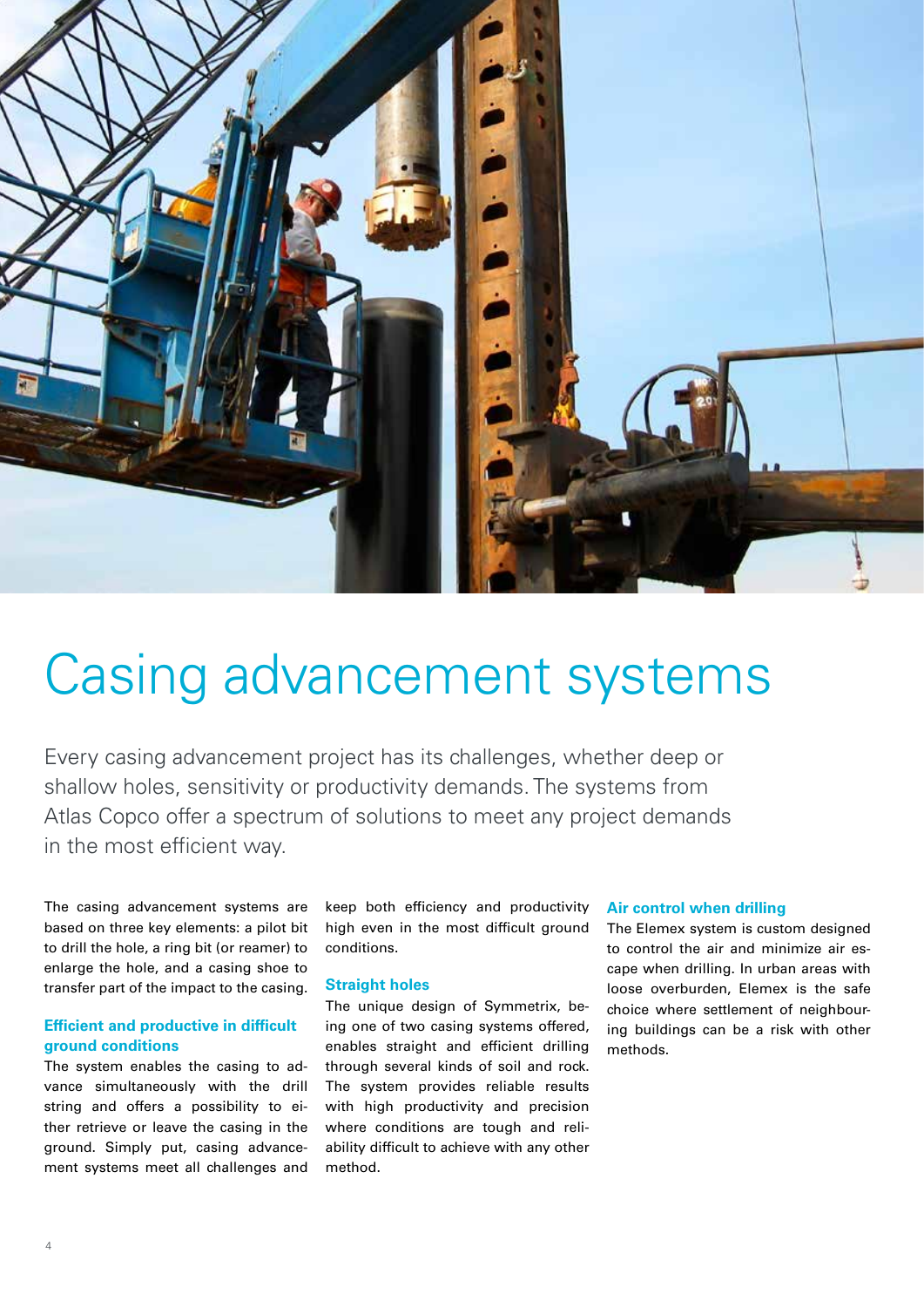

# Casing advancement systems

Every casing advancement project has its challenges, whether deep or shallow holes, sensitivity or productivity demands. The systems from Atlas Copco offer a spectrum of solutions to meet any project demands in the most efficient way.

The casing advancement systems are based on three key elements: a pilot bit to drill the hole, a ring bit (or reamer) to enlarge the hole, and a casing shoe to transfer part of the impact to the casing.

# **Efficient and productive in difficult ground conditions**

The system enables the casing to advance simultaneously with the drill string and offers a possibility to either retrieve or leave the casing in the ground. Simply put, casing advancement systems meet all challenges and

keep both efficiency and productivity high even in the most difficult ground conditions.

### **Straight holes**

The unique design of Symmetrix, being one of two casing systems offered, enables straight and efficient drilling through several kinds of soil and rock. The system provides reliable results with high productivity and precision where conditions are tough and reliability difficult to achieve with any other method.

#### **Air control when drilling**

The Elemex system is custom designed to control the air and minimize air escape when drilling. In urban areas with loose overburden, Elemex is the safe choice where settlement of neighbouring buildings can be a risk with other methods.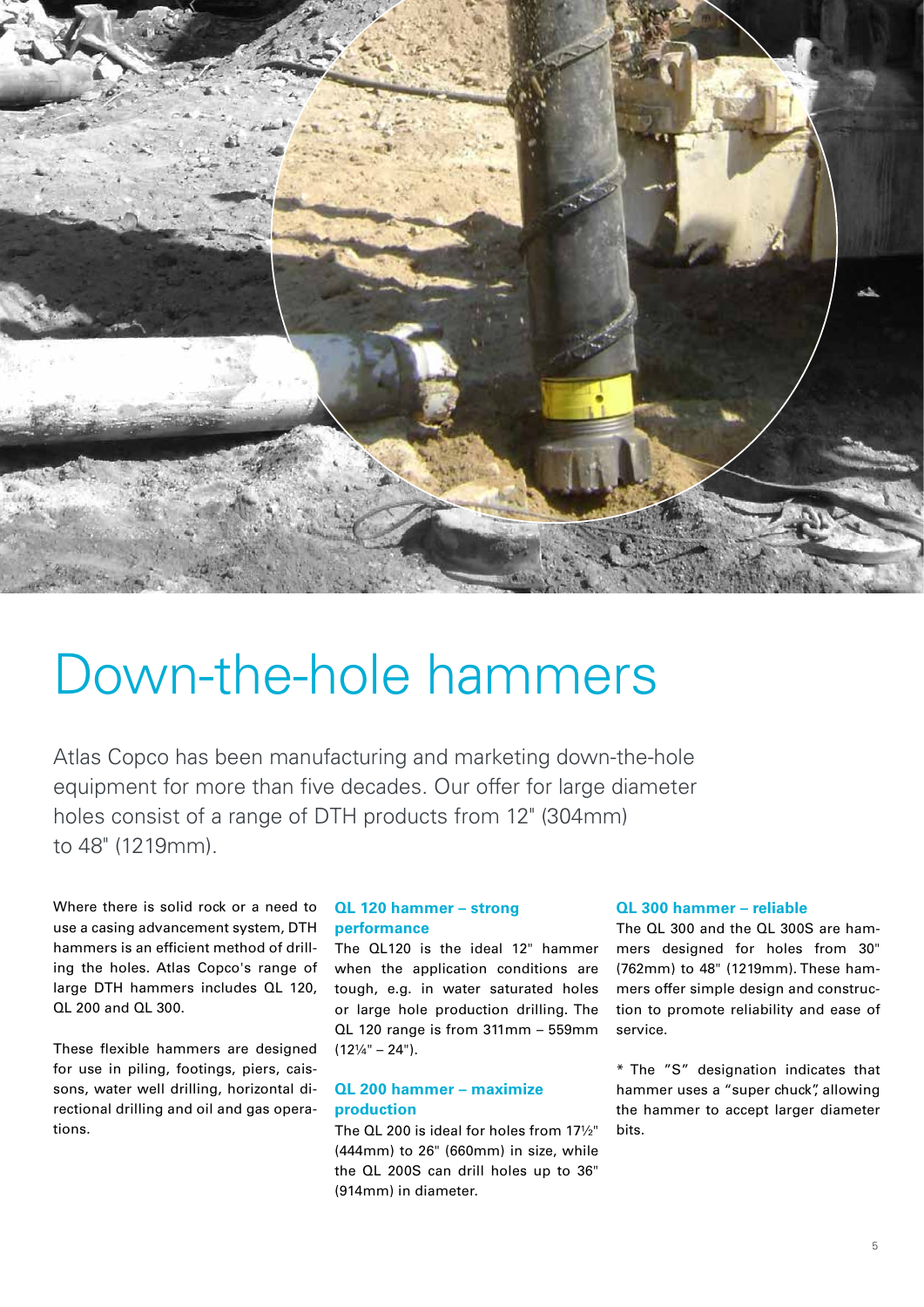

# Down-the-hole hammers

Atlas Copco has been manufacturing and marketing down-the-hole equipment for more than five decades. Our offer for large diameter holes consist of a range of DTH products from 12" (304mm) to 48" (1219mm).

Where there is solid rock or a need to use a casing advancement system, DTH hammers is an efficient method of drilling the holes. Atlas Copco's range of large DTH hammers includes QL 120, QL 200 and QL 300.

These flexible hammers are designed for use in piling, footings, piers, caissons, water well drilling, horizontal directional drilling and oil and gas operations.

# **QL 120 hammer – strong performance**

The QL120 is the ideal 12" hammer when the application conditions are tough, e.g. in water saturated holes or large hole production drilling. The QL 120 range is from 311mm – 559mm  $(12\frac{1}{4} - 24)$ .

# **QL 200 hammer – maximize production**

The QL 200 is ideal for holes from 17½" (444mm) to 26" (660mm) in size, while the QL 200S can drill holes up to 36" (914mm) in diameter.

# **QL 300 hammer – reliable**

The QL 300 and the QL 300S are hammers designed for holes from 30" (762mm) to 48" (1219mm). These hammers offer simple design and construction to promote reliability and ease of service.

\* The "S" designation indicates that hammer uses a "super chuck", allowing the hammer to accept larger diameter bits.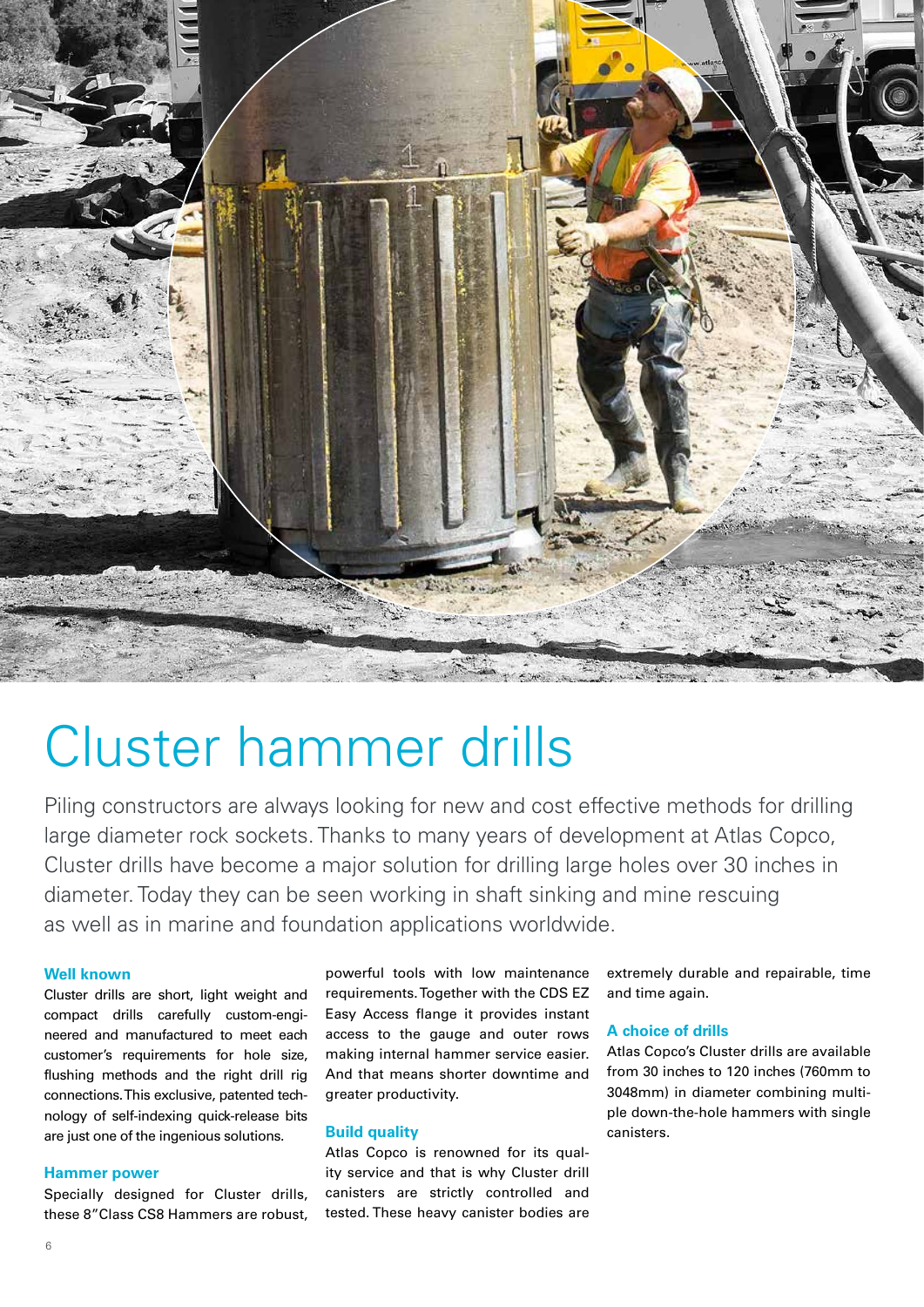

# Cluster hammer drills

Piling constructors are always looking for new and cost effective methods for drilling large diameter rock sockets. Thanks to many years of development at Atlas Copco, Cluster drills have become a major solution for drilling large holes over 30 inches in diameter. Today they can be seen working in shaft sinking and mine rescuing as well as in marine and foundation applications worldwide.

#### **Well known**

Cluster drills are short, light weight and compact drills carefully custom-engineered and manufactured to meet each customer's requirements for hole size, flushing methods and the right drill rig connections. This exclusive, patented technology of self-indexing quick-release bits are just one of the ingenious solutions.

#### **Hammer power**

Specially designed for Cluster drills, these 8"Class CS8 Hammers are robust,

powerful tools with low maintenance requirements. Together with the CDS EZ Easy Access flange it provides instant access to the gauge and outer rows making internal hammer service easier. And that means shorter downtime and greater productivity.

#### **Build quality**

Atlas Copco is renowned for its quality service and that is why Cluster drill canisters are strictly controlled and tested. These heavy canister bodies are extremely durable and repairable, time and time again.

#### **A choice of drills**

Atlas Copco's Cluster drills are available from 30 inches to 120 inches (760mm to 3048mm) in diameter combining multiple down-the-hole hammers with single canisters.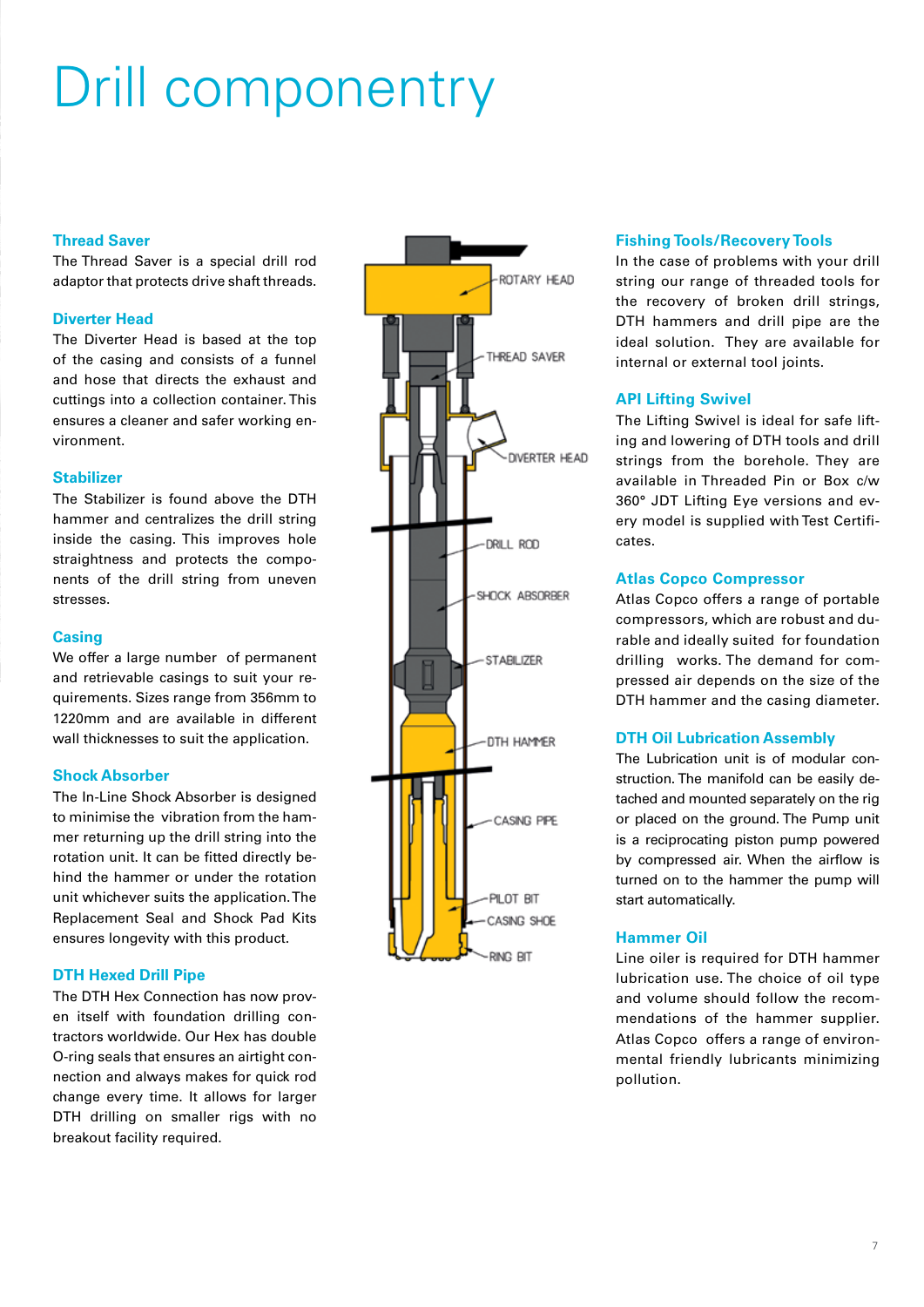# Drill componentry

# **Thread Saver**

The Thread Saver is a special drill rod adaptor that protects drive shaft threads.

### **Diverter Head**

The Diverter Head is based at the top of the casing and consists of a funnel and hose that directs the exhaust and cuttings into a collection container. This ensures a cleaner and safer working environment.

# **Stabilizer**

The Stabilizer is found above the DTH hammer and centralizes the drill string inside the casing. This improves hole straightness and protects the components of the drill string from uneven stresses.

# **Casing**

We offer a large number of permanent and retrievable casings to suit your requirements. Sizes range from 356mm to 1220mm and are available in different wall thicknesses to suit the application.

### **Shock Absorber**

The In-Line Shock Absorber is designed to minimise the vibration from the hammer returning up the drill string into the rotation unit. It can be fitted directly behind the hammer or under the rotation unit whichever suits the application. The Replacement Seal and Shock Pad Kits ensures longevity with this product.

### **DTH Hexed Drill Pipe**

The DTH Hex Connection has now proven itself with foundation drilling contractors worldwide. Our Hex has double O-ring seals that ensures an airtight connection and always makes for quick rod change every time. It allows for larger DTH drilling on smaller rigs with no breakout facility required.



# **Fishing Tools/Recovery Tools**

In the case of problems with your drill string our range of threaded tools for the recovery of broken drill strings, DTH hammers and drill pipe are the ideal solution. They are available for internal or external tool joints.

# **API Lifting Swivel**

The Lifting Swivel is ideal for safe lifting and lowering of DTH tools and drill strings from the borehole. They are available in Threaded Pin or Box c/w 360° JDT Lifting Eye versions and every model is supplied with Test Certificates.

### **Atlas Copco Compressor**

Atlas Copco offers a range of portable compressors, which are robust and durable and ideally suited for foundation drilling works. The demand for compressed air depends on the size of the DTH hammer and the casing diameter.

# **DTH Oil Lubrication Assembly**

The Lubrication unit is of modular construction. The manifold can be easily detached and mounted separately on the rig or placed on the ground. The Pump unit is a reciprocating piston pump powered by compressed air. When the airflow is turned on to the hammer the pump will start automatically.

# **Hammer Oil**

Line oiler is required for DTH hammer lubrication use. The choice of oil type and volume should follow the recommendations of the hammer supplier. Atlas Copco offers a range of environmental friendly lubricants minimizing pollution.